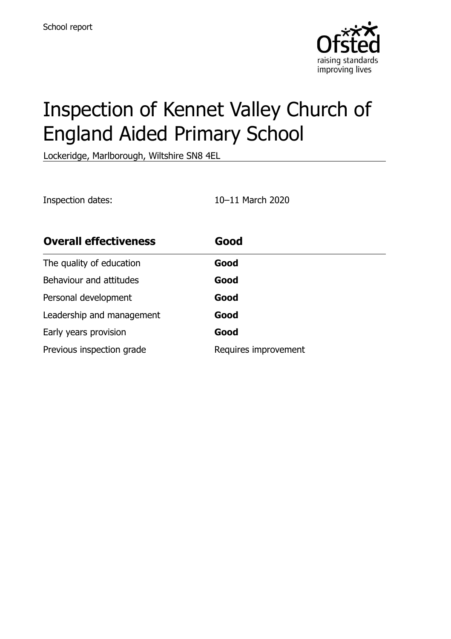

# Inspection of Kennet Valley Church of England Aided Primary School

Lockeridge, Marlborough, Wiltshire SN8 4EL

Inspection dates: 10–11 March 2020 **Overall effectiveness Good** The quality of education **Good** Behaviour and attitudes **Good** Personal development **Good** Leadership and management **Good** Early years provision **Good** Previous inspection grade Requires improvement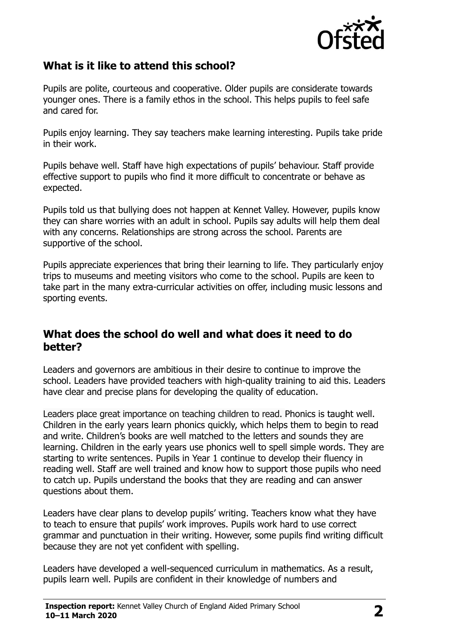

## **What is it like to attend this school?**

Pupils are polite, courteous and cooperative. Older pupils are considerate towards younger ones. There is a family ethos in the school. This helps pupils to feel safe and cared for.

Pupils enjoy learning. They say teachers make learning interesting. Pupils take pride in their work.

Pupils behave well. Staff have high expectations of pupils' behaviour. Staff provide effective support to pupils who find it more difficult to concentrate or behave as expected.

Pupils told us that bullying does not happen at Kennet Valley. However, pupils know they can share worries with an adult in school. Pupils say adults will help them deal with any concerns. Relationships are strong across the school. Parents are supportive of the school.

Pupils appreciate experiences that bring their learning to life. They particularly enjoy trips to museums and meeting visitors who come to the school. Pupils are keen to take part in the many extra-curricular activities on offer, including music lessons and sporting events.

### **What does the school do well and what does it need to do better?**

Leaders and governors are ambitious in their desire to continue to improve the school. Leaders have provided teachers with high-quality training to aid this. Leaders have clear and precise plans for developing the quality of education.

Leaders place great importance on teaching children to read. Phonics is taught well. Children in the early years learn phonics quickly, which helps them to begin to read and write. Children's books are well matched to the letters and sounds they are learning. Children in the early years use phonics well to spell simple words. They are starting to write sentences. Pupils in Year 1 continue to develop their fluency in reading well. Staff are well trained and know how to support those pupils who need to catch up. Pupils understand the books that they are reading and can answer questions about them.

Leaders have clear plans to develop pupils' writing. Teachers know what they have to teach to ensure that pupils' work improves. Pupils work hard to use correct grammar and punctuation in their writing. However, some pupils find writing difficult because they are not yet confident with spelling.

Leaders have developed a well-sequenced curriculum in mathematics. As a result, pupils learn well. Pupils are confident in their knowledge of numbers and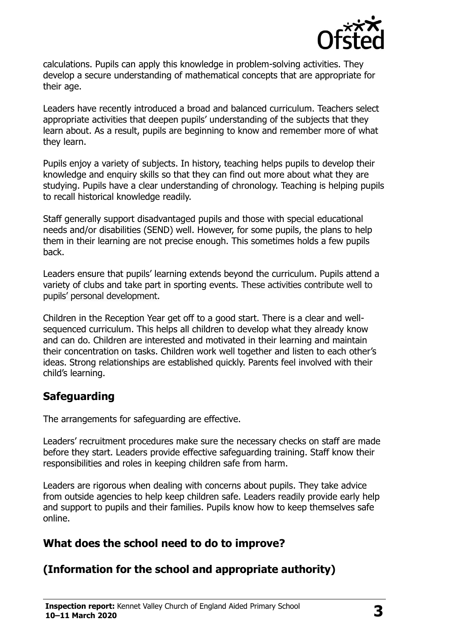

calculations. Pupils can apply this knowledge in problem-solving activities. They develop a secure understanding of mathematical concepts that are appropriate for their age.

Leaders have recently introduced a broad and balanced curriculum. Teachers select appropriate activities that deepen pupils' understanding of the subjects that they learn about. As a result, pupils are beginning to know and remember more of what they learn.

Pupils enjoy a variety of subjects. In history, teaching helps pupils to develop their knowledge and enquiry skills so that they can find out more about what they are studying. Pupils have a clear understanding of chronology. Teaching is helping pupils to recall historical knowledge readily.

Staff generally support disadvantaged pupils and those with special educational needs and/or disabilities (SEND) well. However, for some pupils, the plans to help them in their learning are not precise enough. This sometimes holds a few pupils back.

Leaders ensure that pupils' learning extends beyond the curriculum. Pupils attend a variety of clubs and take part in sporting events. These activities contribute well to pupils' personal development.

Children in the Reception Year get off to a good start. There is a clear and wellsequenced curriculum. This helps all children to develop what they already know and can do. Children are interested and motivated in their learning and maintain their concentration on tasks. Children work well together and listen to each other's ideas. Strong relationships are established quickly. Parents feel involved with their child's learning.

## **Safeguarding**

The arrangements for safeguarding are effective.

Leaders' recruitment procedures make sure the necessary checks on staff are made before they start. Leaders provide effective safeguarding training. Staff know their responsibilities and roles in keeping children safe from harm.

Leaders are rigorous when dealing with concerns about pupils. They take advice from outside agencies to help keep children safe. Leaders readily provide early help and support to pupils and their families. Pupils know how to keep themselves safe online.

## **What does the school need to do to improve?**

## **(Information for the school and appropriate authority)**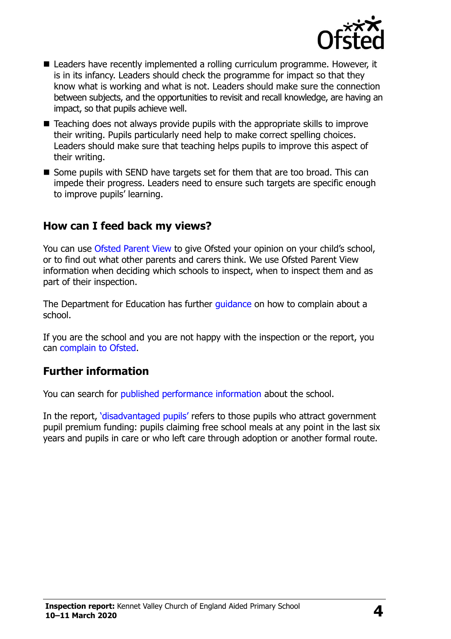

- Leaders have recently implemented a rolling curriculum programme. However, it is in its infancy. Leaders should check the programme for impact so that they know what is working and what is not. Leaders should make sure the connection between subjects, and the opportunities to revisit and recall knowledge, are having an impact, so that pupils achieve well.
- Teaching does not always provide pupils with the appropriate skills to improve their writing. Pupils particularly need help to make correct spelling choices. Leaders should make sure that teaching helps pupils to improve this aspect of their writing.
- Some pupils with SEND have targets set for them that are too broad. This can impede their progress. Leaders need to ensure such targets are specific enough to improve pupils' learning.

### **How can I feed back my views?**

You can use [Ofsted Parent View](http://parentview.ofsted.gov.uk/) to give Ofsted your opinion on your child's school, or to find out what other parents and carers think. We use Ofsted Parent View information when deciding which schools to inspect, when to inspect them and as part of their inspection.

The Department for Education has further *quidance* on how to complain about a school.

If you are the school and you are not happy with the inspection or the report, you can [complain to Ofsted.](http://www.gov.uk/complain-ofsted-report)

#### **Further information**

You can search for [published performance information](http://www.compare-school-performance.service.gov.uk/) about the school.

In the report, '[disadvantaged pupils](http://www.gov.uk/guidance/pupil-premium-information-for-schools-and-alternative-provision-settings)' refers to those pupils who attract government pupil premium funding: pupils claiming free school meals at any point in the last six years and pupils in care or who left care through adoption or another formal route.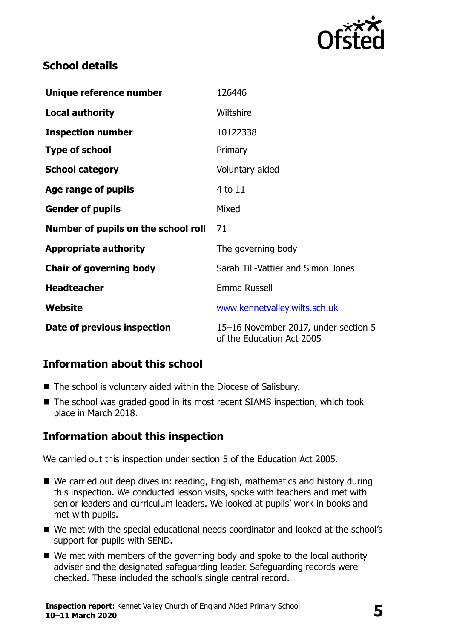

## **School details**

| Unique reference number             | 126446                                                            |
|-------------------------------------|-------------------------------------------------------------------|
| <b>Local authority</b>              | Wiltshire                                                         |
| <b>Inspection number</b>            | 10122338                                                          |
| <b>Type of school</b>               | Primary                                                           |
| <b>School category</b>              | Voluntary aided                                                   |
| Age range of pupils                 | $4$ to $11$                                                       |
| <b>Gender of pupils</b>             | Mixed                                                             |
| Number of pupils on the school roll | 71                                                                |
| <b>Appropriate authority</b>        | The governing body                                                |
| <b>Chair of governing body</b>      | Sarah Till-Vattier and Simon Jones                                |
| <b>Headteacher</b>                  | Emma Russell                                                      |
| Website                             | www.kennetvalley.wilts.sch.uk                                     |
| Date of previous inspection         | 15-16 November 2017, under section 5<br>of the Education Act 2005 |

## **Information about this school**

- The school is voluntary aided within the Diocese of Salisbury.
- The school was graded good in its most recent SIAMS inspection, which took place in March 2018.

## **Information about this inspection**

We carried out this inspection under section 5 of the Education Act 2005.

- We carried out deep dives in: reading, English, mathematics and history during this inspection. We conducted lesson visits, spoke with teachers and met with senior leaders and curriculum leaders. We looked at pupils' work in books and met with pupils.
- We met with the special educational needs coordinator and looked at the school's support for pupils with SEND.
- We met with members of the governing body and spoke to the local authority adviser and the designated safeguarding leader. Safeguarding records were checked. These included the school's single central record.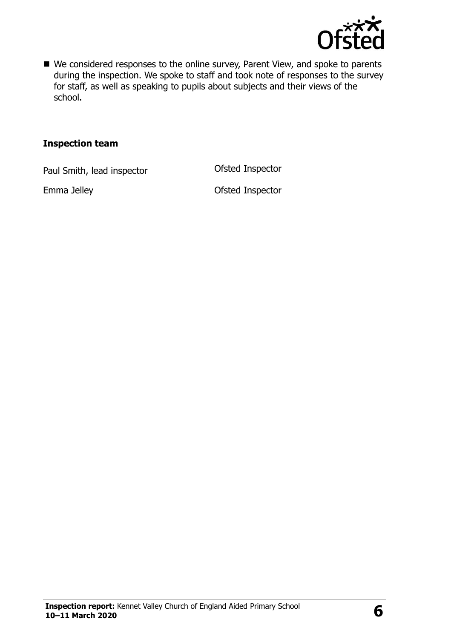

■ We considered responses to the online survey, Parent View, and spoke to parents during the inspection. We spoke to staff and took note of responses to the survey for staff, as well as speaking to pupils about subjects and their views of the school.

#### **Inspection team**

Paul Smith, lead inspector **Contact Contact Contact Contact Contact Contact Contact Contact Contact Contact Contact Contact Contact Contact Contact Contact Contact Contact Contact Contact Contact Contact Contact Contact Co** 

Emma Jelley **Contract Contract Contract Contract Contract Contract Contract Contract Contract Contract Contract Contract Contract Contract Contract Contract Contract Contract Contract Contract Contract Contract Contract Co**